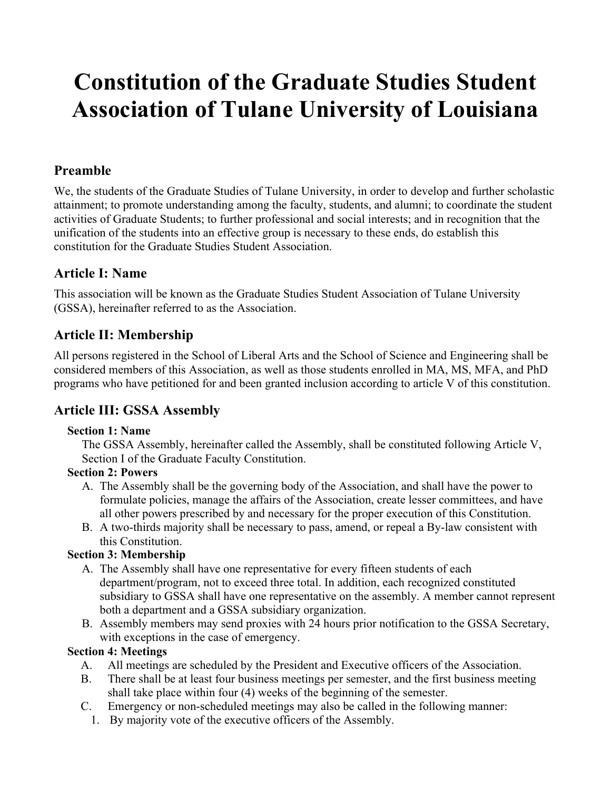# **Constitution of the Graduate Studies Student Association of Tulane University of Louisiana**

# **Preamble**

We, the students of the Graduate Studies of Tulane University, in order to develop and further scholastic attainment; to promote understanding among the faculty, students, and alumni; to coordinate the student activities of Graduate Students; to further professional and social interests; and in recognition that the unification of the students into an effective group is necessary to these ends, do establish this constitution for the Graduate Studies Student Association.

# **Article I: Name**

This association will be known as the Graduate Studies Student Association of Tulane University (GSSA), hereinafter referred to as the Association.

# **Article II: Membership**

All persons registered in the School of Liberal Arts and the School of Science and Engineering shall be considered members of this Association, as well as those students enrolled in MA, MS, MFA, and PhD programs who have petitioned for and been granted inclusion according to article V of this constitution.

# **Article III: GSSA Assembly**

#### **Section 1: Name**

The GSSA Assembly, hereinafter called the Assembly, shall be constituted following Article V, Section I of the Graduate Faculty Constitution.

## **Section 2: Powers**

- A. The Assembly shall be the governing body of the Association, and shall have the power to formulate policies, manage the affairs of the Association, create lesser committees, and have all other powers prescribed by and necessary for the proper execution of this Constitution.
- B. A two-thirds majority shall be necessary to pass, amend, or repeal a By-law consistent with this Constitution.

## **Section 3: Membership**

- A. The Assembly shall have one representative for every fifteen students of each department/program, not to exceed three total. In addition, each recognized constituted subsidiary to GSSA shall have one representative on the assembly. A member cannot represent both a department and a GSSA subsidiary organization.
- B. Assembly members may send proxies with 24 hours prior notification to the GSSA Secretary, with exceptions in the case of emergency.

## **Section 4: Meetings**

- A. All meetings are scheduled by the President and Executive officers of the Association.
- B. There shall be at least four business meetings per semester, and the first business meeting shall take place within four (4) weeks of the beginning of the semester.
- C. Emergency or non-scheduled meetings may also be called in the following manner:
	- 1. By majority vote of the executive officers of the Assembly.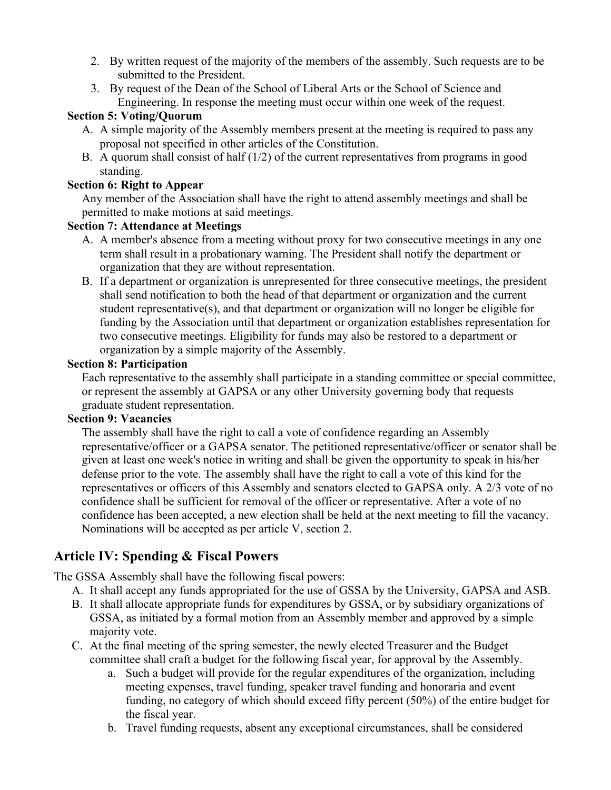- 2. By written request of the majority of the members of the assembly. Such requests are to be submitted to the President.
- 3. By request of the Dean of the School of Liberal Arts or the School of Science and Engineering. In response the meeting must occur within one week of the request.

#### **Section 5: Voting/Quorum**

- A. A simple majority of the Assembly members present at the meeting is required to pass any proposal not specified in other articles of the Constitution.
- B. A quorum shall consist of half (1/2) of the current representatives from programs in good standing.

#### **Section 6: Right to Appear**

Any member of the Association shall have the right to attend assembly meetings and shall be permitted to make motions at said meetings.

#### **Section 7: Attendance at Meetings**

- A. A member's absence from a meeting without proxy for two consecutive meetings in any one term shall result in a probationary warning. The President shall notify the department or organization that they are without representation.
- B. If a department or organization is unrepresented for three consecutive meetings, the president shall send notification to both the head of that department or organization and the current student representative(s), and that department or organization will no longer be eligible for funding by the Association until that department or organization establishes representation for two consecutive meetings. Eligibility for funds may also be restored to a department or organization by a simple majority of the Assembly.

#### **Section 8: Participation**

Each representative to the assembly shall participate in a standing committee or special committee, or represent the assembly at GAPSA or any other University governing body that requests graduate student representation.

#### **Section 9: Vacancies**

The assembly shall have the right to call a vote of confidence regarding an Assembly representative/officer or a GAPSA senator. The petitioned representative/officer or senator shall be given at least one week's notice in writing and shall be given the opportunity to speak in his/her defense prior to the vote. The assembly shall have the right to call a vote of this kind for the representatives or officers of this Assembly and senators elected to GAPSA only. A 2/3 vote of no confidence shall be sufficient for removal of the officer or representative. After a vote of no confidence has been accepted, a new election shall be held at the next meeting to fill the vacancy. Nominations will be accepted as per article V, section 2.

# **Article IV: Spending & Fiscal Powers**

The GSSA Assembly shall have the following fiscal powers:

- A. It shall accept any funds appropriated for the use of GSSA by the University, GAPSA and ASB.
- B. It shall allocate appropriate funds for expenditures by GSSA, or by subsidiary organizations of GSSA, as initiated by a formal motion from an Assembly member and approved by a simple majority vote.
- C. At the final meeting of the spring semester, the newly elected Treasurer and the Budget committee shall craft a budget for the following fiscal year, for approval by the Assembly.
	- a. Such a budget will provide for the regular expenditures of the organization, including meeting expenses, travel funding, speaker travel funding and honoraria and event funding, no category of which should exceed fifty percent (50%) of the entire budget for the fiscal year.
	- b. Travel funding requests, absent any exceptional circumstances, shall be considered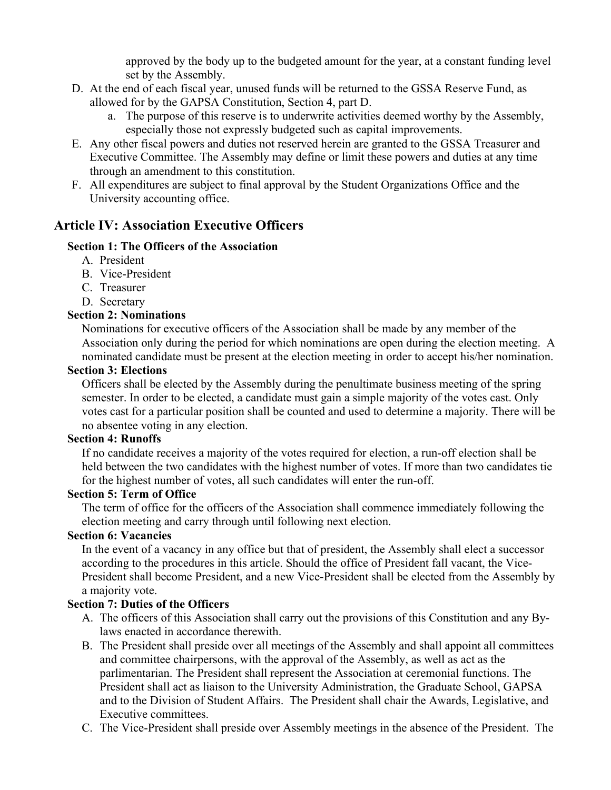approved by the body up to the budgeted amount for the year, at a constant funding level set by the Assembly.

- D. At the end of each fiscal year, unused funds will be returned to the GSSA Reserve Fund, as allowed for by the GAPSA Constitution, Section 4, part D.
	- a. The purpose of this reserve is to underwrite activities deemed worthy by the Assembly, especially those not expressly budgeted such as capital improvements.
- E. Any other fiscal powers and duties not reserved herein are granted to the GSSA Treasurer and Executive Committee. The Assembly may define or limit these powers and duties at any time through an amendment to this constitution.
- F. All expenditures are subject to final approval by the Student Organizations Office and the University accounting office.

# **Article IV: Association Executive Officers**

## **Section 1: The Officers of the Association**

- A. President
- B. Vice-President
- C. Treasurer
- D. Secretary

## **Section 2: Nominations**

Nominations for executive officers of the Association shall be made by any member of the Association only during the period for which nominations are open during the election meeting. A nominated candidate must be present at the election meeting in order to accept his/her nomination.

#### **Section 3: Elections**

Officers shall be elected by the Assembly during the penultimate business meeting of the spring semester. In order to be elected, a candidate must gain a simple majority of the votes cast. Only votes cast for a particular position shall be counted and used to determine a majority. There will be no absentee voting in any election.

#### **Section 4: Runoffs**

If no candidate receives a majority of the votes required for election, a run-off election shall be held between the two candidates with the highest number of votes. If more than two candidates tie for the highest number of votes, all such candidates will enter the run-off.

#### **Section 5: Term of Office**

The term of office for the officers of the Association shall commence immediately following the election meeting and carry through until following next election.

#### **Section 6: Vacancies**

In the event of a vacancy in any office but that of president, the Assembly shall elect a successor according to the procedures in this article. Should the office of President fall vacant, the Vice-President shall become President, and a new Vice-President shall be elected from the Assembly by a majority vote.

## **Section 7: Duties of the Officers**

- A. The officers of this Association shall carry out the provisions of this Constitution and any Bylaws enacted in accordance therewith.
- B. The President shall preside over all meetings of the Assembly and shall appoint all committees and committee chairpersons, with the approval of the Assembly, as well as act as the parlimentarian. The President shall represent the Association at ceremonial functions. The President shall act as liaison to the University Administration, the Graduate School, GAPSA and to the Division of Student Affairs. The President shall chair the Awards, Legislative, and Executive committees.
- C. The Vice-President shall preside over Assembly meetings in the absence of the President. The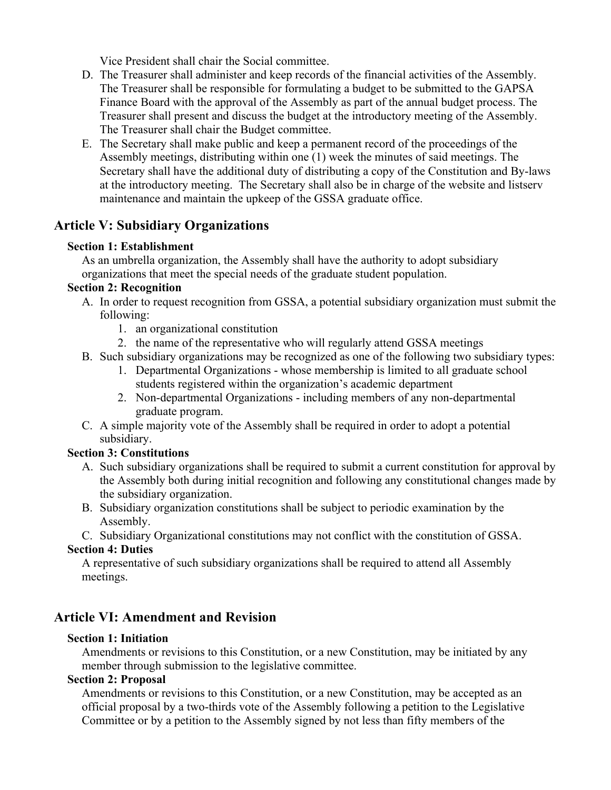Vice President shall chair the Social committee.

- D. The Treasurer shall administer and keep records of the financial activities of the Assembly. The Treasurer shall be responsible for formulating a budget to be submitted to the GAPSA Finance Board with the approval of the Assembly as part of the annual budget process. The Treasurer shall present and discuss the budget at the introductory meeting of the Assembly. The Treasurer shall chair the Budget committee.
- E. The Secretary shall make public and keep a permanent record of the proceedings of the Assembly meetings, distributing within one (1) week the minutes of said meetings. The Secretary shall have the additional duty of distributing a copy of the Constitution and By-laws at the introductory meeting. The Secretary shall also be in charge of the website and listserv maintenance and maintain the upkeep of the GSSA graduate office.

# **Article V: Subsidiary Organizations**

#### **Section 1: Establishment**

As an umbrella organization, the Assembly shall have the authority to adopt subsidiary organizations that meet the special needs of the graduate student population.

#### **Section 2: Recognition**

- A. In order to request recognition from GSSA, a potential subsidiary organization must submit the following:
	- 1. an organizational constitution
	- 2. the name of the representative who will regularly attend GSSA meetings
- B. Such subsidiary organizations may be recognized as one of the following two subsidiary types:
	- 1. Departmental Organizations whose membership is limited to all graduate school students registered within the organization's academic department
	- 2. Non-departmental Organizations including members of any non-departmental graduate program.
- C. A simple majority vote of the Assembly shall be required in order to adopt a potential subsidiary.

#### **Section 3: Constitutions**

- A. Such subsidiary organizations shall be required to submit a current constitution for approval by the Assembly both during initial recognition and following any constitutional changes made by the subsidiary organization.
- B. Subsidiary organization constitutions shall be subject to periodic examination by the Assembly.

C. Subsidiary Organizational constitutions may not conflict with the constitution of GSSA. **Section 4: Duties**

A representative of such subsidiary organizations shall be required to attend all Assembly meetings.

## **Article VI: Amendment and Revision**

#### **Section 1: Initiation**

Amendments or revisions to this Constitution, or a new Constitution, may be initiated by any member through submission to the legislative committee.

#### **Section 2: Proposal**

Amendments or revisions to this Constitution, or a new Constitution, may be accepted as an official proposal by a two-thirds vote of the Assembly following a petition to the Legislative Committee or by a petition to the Assembly signed by not less than fifty members of the